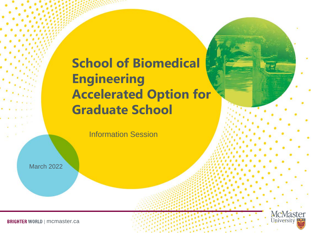# **School of Biomedical Engineering Accelerated Option for Graduate School**

Information Session

March 2022



**BRIGHTER WORLD | mcmaster.ca**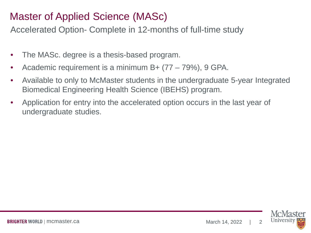### Master of Applied Science (MASc)

Accelerated Option- Complete in 12-months of full-time study

- The MASc. degree is a thesis-based program.
- Academic requirement is a minimum B+ (77 79%), 9 GPA.
- Available to only to McMaster students in the undergraduate 5-year Integrated Biomedical Engineering Health Science (IBEHS) program.
- Application for entry into the accelerated option occurs in the last year of undergraduate studies.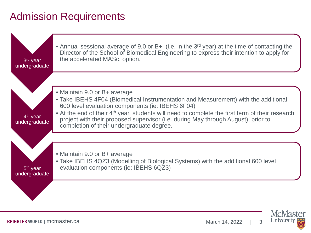### Admission Requirements



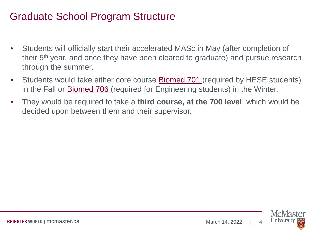### Graduate School Program Structure

- Students will officially start their accelerated MASc in May (after completion of their 5<sup>th</sup> year, and once they have been cleared to graduate) and pursue research through the summer.
- Students would take either core course **Biomed 701** (required by HESE students) in the Fall or [Biomed 706](https://www.eng.mcmaster.ca/msbe/programs/course-listing) (required for Engineering students) in the Winter.
- They would be required to take a **third course, at the 700 level**, which would be decided upon between them and their supervisor.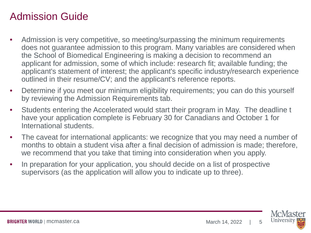### Admission Guide

- Admission is very competitive, so meeting/surpassing the minimum requirements does not guarantee admission to this program. Many variables are considered when the School of Biomedical Engineering is making a decision to recommend an applicant for admission, some of which include: research fit; available funding; the applicant's statement of interest; the applicant's specific industry/research experience outlined in their resume/CV; and the applicant's reference reports.
- Determine if you meet our minimum eligibility requirements; you can do this yourself by reviewing the Admission Requirements tab.
- Students entering the Accelerated would start their program in May. The deadline t have your application complete is February 30 for Canadians and October 1 for International students.
- The caveat for international applicants: we recognize that you may need a number of months to obtain a student visa after a final decision of admission is made; therefore, we recommend that you take that timing into consideration when you apply.
- In preparation for your application, you should decide on a list of prospective supervisors (as the application will allow you to indicate up to three).

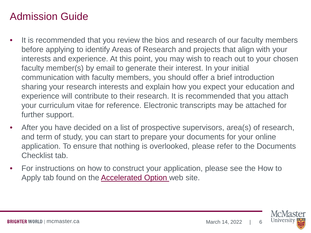### Admission Guide

- It is recommended that you review the bios and research of our faculty members before applying to identify Areas of Research and projects that align with your interests and experience. At this point, you may wish to reach out to your chosen faculty member(s) by email to generate their interest. In your initial communication with faculty members, you should offer a brief introduction sharing your research interests and explain how you expect your education and experience will contribute to their research. It is recommended that you attach your curriculum vitae for reference. Electronic transcripts may be attached for further support.
- After you have decided on a list of prospective supervisors, area(s) of research, and term of study, you can start to prepare your documents for your online application. To ensure that nothing is overlooked, please refer to the Documents Checklist tab.
- For instructions on how to construct your application, please see the How to Apply tab found on the [Accelerated Option w](https://www.eng.mcmaster.ca/msbe/programs/degree-options/masc/accelerated-option)eb site.

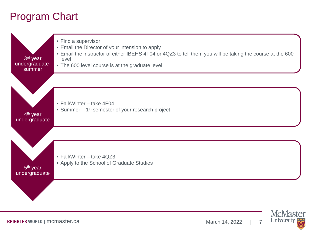# Program Chart



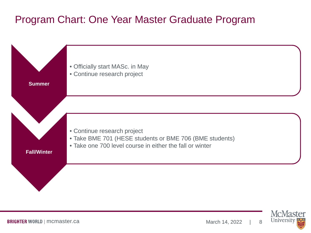# Program Chart: One Year Master Graduate Program



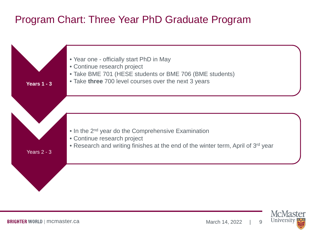# Program Chart: Three Year PhD Graduate Program



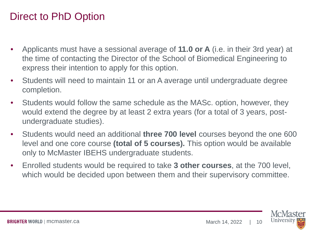### Direct to PhD Option

- Applicants must have a sessional average of **11.0 or A** (i.e. in their 3rd year) at the time of contacting the Director of the School of Biomedical Engineering to express their intention to apply for this option.
- Students will need to maintain 11 or an A average until undergraduate degree completion.
- Students would follow the same schedule as the MASc. option, however, they would extend the degree by at least 2 extra years (for a total of 3 years, postundergraduate studies).
- Students would need an additional **three 700 level** courses beyond the one 600 level and one core course **(total of 5 courses).** This option would be available only to McMaster IBEHS undergraduate students.
- Enrolled students would be required to take **3 other courses**, at the 700 level, which would be decided upon between them and their supervisory committee.

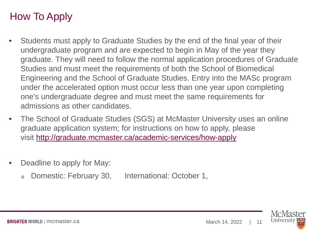# How To Apply

- Students must apply to Graduate Studies by the end of the final year of their undergraduate program and are expected to begin in May of the year they graduate. They will need to follow the normal application procedures of Graduate Studies and must meet the requirements of both the School of Biomedical Engineering and the School of Graduate Studies. Entry into the MASc program under the accelerated option must occur less than one year upon completing one's undergraduate degree and must meet the same requirements for admissions as other candidates.
- The School of Graduate Studies (SGS) at McMaster University uses an online graduate application system; for instructions on how to apply, please visit <http://graduate.mcmaster.ca/academic-services/how-apply>
- Deadline to apply for May:
	- <sup>o</sup> Domestic: February 30, International: October 1,

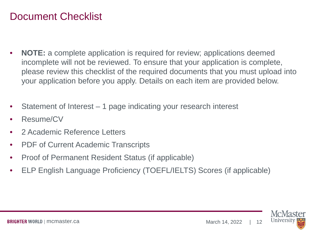### Document Checklist

- **NOTE:** a complete application is required for review; applications deemed incomplete will not be reviewed. To ensure that your application is complete, please review this checklist of the required documents that you must upload into your application before you apply. Details on each item are provided below.
- Statement of Interest 1 page indicating your research interest
- Resume/CV
- 2 Academic Reference Letters
- PDF of Current Academic Transcripts
- Proof of Permanent Resident Status (if applicable)
- ELP English Language Proficiency (TOEFL/IELTS) Scores (if applicable)

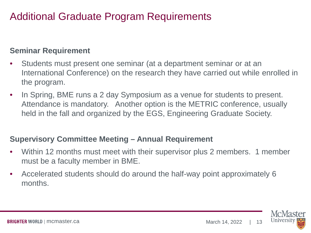# Additional Graduate Program Requirements

#### **Seminar Requirement**

- Students must present one seminar (at a department seminar or at an International Conference) on the research they have carried out while enrolled in the program.
- In Spring, BME runs a 2 day Symposium as a venue for students to present. Attendance is mandatory. Another option is the METRIC conference, usually held in the fall and organized by the EGS, Engineering Graduate Society.

#### **Supervisory Committee Meeting – Annual Requirement**

- Within 12 months must meet with their supervisor plus 2 members. 1 member must be a faculty member in BME.
- Accelerated students should do around the half-way point approximately 6 months.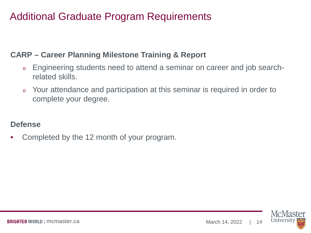# Additional Graduate Program Requirements

#### **CARP – Career Planning Milestone Training & Report**

- <sup>o</sup> Engineering students need to attend a seminar on career and job searchrelated skills.
- <sup>o</sup> Your attendance and participation at this seminar is required in order to complete your degree.

#### **Defense**

• Completed by the 12 month of your program.

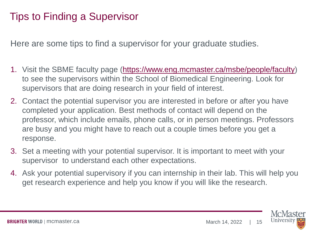# Tips to Finding a Supervisor

Here are some tips to find a supervisor for your graduate studies.

- 1. Visit the SBME faculty page (<https://www.eng.mcmaster.ca/msbe/people/faculty>) to see the supervisors within the School of Biomedical Engineering. Look for supervisors that are doing research in your field of interest.
- 2. Contact the potential supervisor you are interested in before or after you have completed your application. Best methods of contact will depend on the professor, which include emails, phone calls, or in person meetings. Professors are busy and you might have to reach out a couple times before you get a response.
- 3. Set a meeting with your potential supervisor. It is important to meet with your supervisor to understand each other expectations.
- 4. Ask your potential supervisory if you can internship in their lab. This will help you get research experience and help you know if you will like the research.

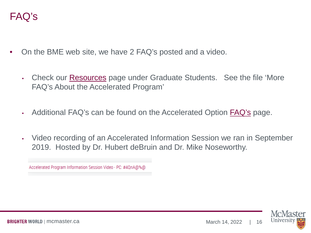- On the BME web site, we have 2 FAQ's posted and a video.
	- Check our [Resources](https://www.eng.mcmaster.ca/msbe/resources#graduate-students) page under Graduate Students. See the file 'More FAQ's About the Accelerated Program'
	- Additional FAQ's can be found on the Accelerated Option [FAQ's](https://www.eng.mcmaster.ca/msbe/programs/degree-options/masc/accelerated-option#tab-3) page.
	- Video recording of an Accelerated Information Session we ran in September 2019. Hosted by Dr. Hubert deBruin and Dr. Mike Noseworthy.

Accelerated Program Information Session Video - PC: #4QnA@%@

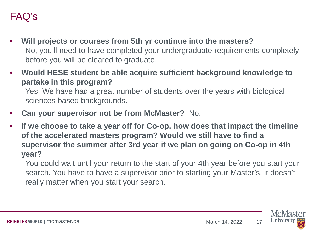- **Will projects or courses from 5th yr continue into the masters?** No, you'll need to have completed your undergraduate requirements completely before you will be cleared to graduate.
- **Would HESE student be able acquire sufficient background knowledge to partake in this program?**

Yes. We have had a great number of students over the years with biological sciences based backgrounds.

- **Can your supervisor not be from McMaster?** No.
- **If we choose to take a year off for Co-op, how does that impact the timeline of the accelerated masters program? Would we still have to find a supervisor the summer after 3rd year if we plan on going on Co-op in 4th year?**

You could wait until your return to the start of your 4th year before you start your search. You have to have a supervisor prior to starting your Master's, it doesn't really matter when you start your search.

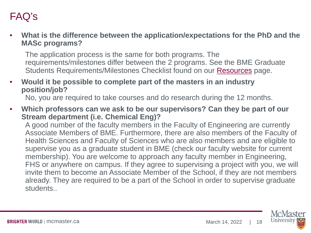• **What is the difference between the application/expectations for the PhD and the MASc programs?** 

The application process is the same for both programs. The requirements/milestones differ between the 2 programs. See the BME Graduate Students Requirements/Milestones Checklist found on our [Resources](https://www.eng.mcmaster.ca/msbe/resources#graduate-students) page.

• **Would it be possible to complete part of the masters in an industry position/job?**

No, you are required to take courses and do research during the 12 months.

• **Which professors can we ask to be our supervisors? Can they be part of our Stream department (i.e. Chemical Eng)?**

A good number of the faculty members in the Faculty of Engineering are currently Associate Members of BME. Furthermore, there are also members of the Faculty of Health Sciences and Faculty of Sciences who are also members and are eligible to supervise you as a graduate student in BME (check our faculty website for current membership). You are welcome to approach any faculty member in Engineering, FHS or anywhere on campus. If they agree to supervising a project with you, we will invite them to become an Associate Member of the School, if they are not members already. They are required to be a part of the School in order to supervise graduate students..

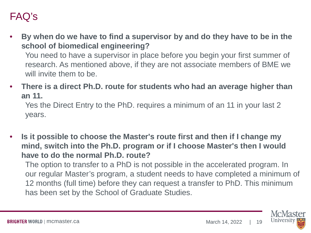• **By when do we have to find a supervisor by and do they have to be in the school of biomedical engineering?**

You need to have a supervisor in place before you begin your first summer of research. As mentioned above, if they are not associate members of BME we will invite them to be.

• **There is a direct Ph.D. route for students who had an average higher than an 11.**

Yes the Direct Entry to the PhD. requires a minimum of an 11 in your last 2 years.

• **Is it possible to choose the Master's route first and then if I change my mind, switch into the Ph.D. program or if I choose Master's then I would have to do the normal Ph.D. route?**

The option to transfer to a PhD is not possible in the accelerated program. In our regular Master's program, a student needs to have completed a minimum of 12 months (full time) before they can request a transfer to PhD. This minimum has been set by the School of Graduate Studies.

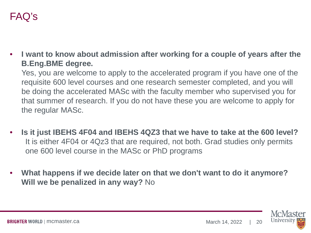• **I want to know about admission after working for a couple of years after the B.Eng.BME degree.**

Yes, you are welcome to apply to the accelerated program if you have one of the requisite 600 level courses and one research semester completed, and you will be doing the accelerated MASc with the faculty member who supervised you for that summer of research. If you do not have these you are welcome to apply for the regular MASc.

- **Is it just IBEHS 4F04 and IBEHS 4QZ3 that we have to take at the 600 level?** It is either 4F04 or 4Qz3 that are required, not both. Grad studies only permits one 600 level course in the MASc or PhD programs
- **What happens if we decide later on that we don't want to do it anymore? Will we be penalized in any way?** No

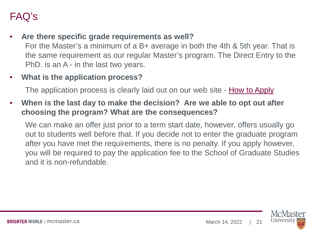• **Are there specific grade requirements as well?**

For the Master's a minimum of a B+ average in both the 4th & 5th year. That is the same requirement as our regular Master's program. The Direct Entry to the PhD. is an A - in the last two years.

#### • **What is the application process?**

The application process is clearly laid out on our web site - [How to Apply](https://www.eng.mcmaster.ca/msbe/programs/degree-options/masc/accelerated-option#how-apply)

• **When is the last day to make the decision? Are we able to opt out after choosing the program? What are the consequences?**

We can make an offer just prior to a term start date, however, offers usually go out to students well before that. If you decide not to enter the graduate program after you have met the requirements, there is no penalty. If you apply however, you will be required to pay the application fee to the School of Graduate Studies and it is non-refundable.

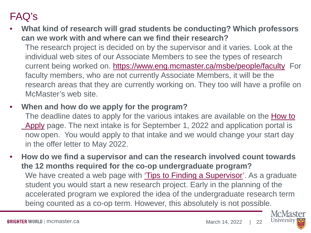• **What kind of research will grad students be conducting? Which professors can we work with and where can we find their research?**

The research project is decided on by the supervisor and it varies. Look at the individual web sites of our Associate Members to see the types of research current being worked on.<https://www.eng.mcmaster.ca/msbe/people/faculty> For faculty members, who are not currently Associate Members, it will be the research areas that they are currently working on. They too will have a profile on McMaster's web site.

#### • **When and how do we apply for the program?**

[The deadline dates to apply for the various intakes are available on the How to](https://www.eng.mcmaster.ca/msbe/programs/degree-options/masc/accelerated-option#how-apply)  Apply page. The next intake is for September 1, 2022 and application portal is now open. You would apply to that intake and we would change your start day in the offer letter to May 2022.

• **How do we find a supervisor and can the research involved count towards the 12 months required for the co-op undergraduate program?** We have created a web page with ['Tips to Finding a Supervisor](https://www.eng.mcmaster.ca/msbe/programs/degree-options/masc/accelerated-option#tab-8)'. As a graduate student you would start a new research project. Early in the planning of the accelerated program we explored the idea of the undergraduate research term being counted as a co-op term. However, this absolutely is not possible.

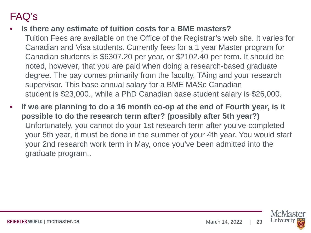• **Is there any estimate of tuition costs for a BME masters?**

Tuition Fees are available on the Office of the Registrar's web site. It varies for Canadian and Visa students. Currently fees for a 1 year Master program for Canadian students is \$6307.20 per year, or \$2102.40 per term. It should be noted, however, that you are paid when doing a research-based graduate degree. The pay comes primarily from the faculty, TAing and your research supervisor. This base annual salary for a BME MASc Canadian student is \$23,000., while a PhD Canadian base student salary is \$26,000.

• **If we are planning to do a 16 month co-op at the end of Fourth year, is it possible to do the research term after? (possibly after 5th year?)** Unfortunately, you cannot do your 1st research term after you've completed your 5th year, it must be done in the summer of your 4th year. You would start your 2nd research work term in May, once you've been admitted into the graduate program..

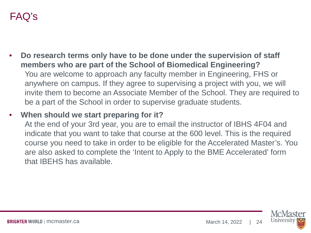• **Do research terms only have to be done under the supervision of staff members who are part of the School of Biomedical Engineering?** You are welcome to approach any faculty member in Engineering, FHS or anywhere on campus. If they agree to supervising a project with you, we will invite them to become an Associate Member of the School. They are required to be a part of the School in order to supervise graduate students.

#### • **When should we start preparing for it?**

At the end of your 3rd year, you are to email the instructor of IBHS 4F04 and indicate that you want to take that course at the 600 level. This is the required course you need to take in order to be eligible for the Accelerated Master's. You are also asked to complete the 'Intent to Apply to the BME Accelerated' form that IBEHS has available.

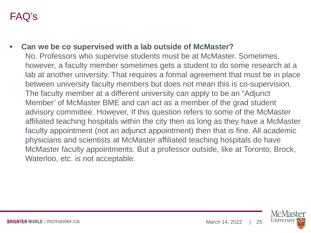• **Can we be co supervised with a lab outside of McMaster?** No. Professors who supervise students must be at McMaster. Sometimes, however, a faculty member sometimes gets a student to do some research at a lab at another university. That requires a formal agreement that must be in place between university faculty members but does not mean this is co-supervision. The faculty member at a different university can apply to be an "Adjunct Member' of McMaster BME and can act as a member of the grad student advisory committee. However, If this question refers to some of the McMaster affiliated teaching hospitals within the city then as long as they have a McMaster faculty appointment (not an adjunct appointment) then that is fine. All academic physicians and scientists at McMaster affiliated teaching hospitals do have McMaster faculty appointments. But a professor outside, like at Toronto, Brock, Waterloo, etc. is not acceptable.

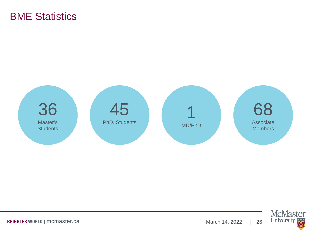#### BME Statistics



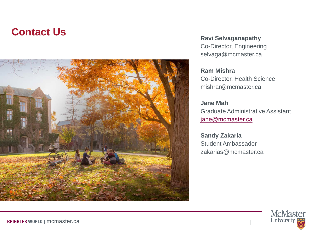# **Contact Us**



**Ravi Selvaganapathy** Co-Director, Engineering selvaga@mcmaster.ca

**Ram Mishra** Co-Director, Health Science mishrar@mcmaster.ca

**Jane Mah** Graduate Administrative Assistant [jane@mcmaster.ca](mailto:jane@mcmaster.ca)

**Sandy Zakaria** Student Ambassador zakarias@mcmaster.ca